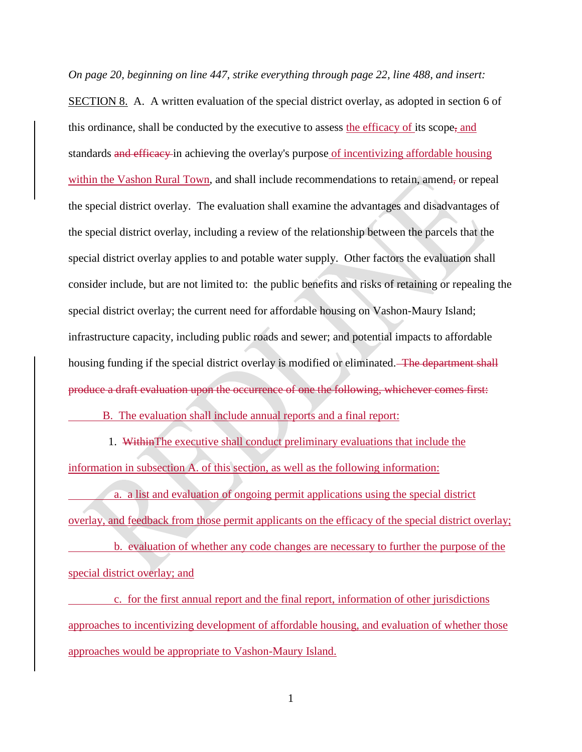*On page 20, beginning on line 447, strike everything through page 22, line 488, and insert:* SECTION 8. A. A written evaluation of the special district overlay, as adopted in section 6 of this ordinance, shall be conducted by the executive to assess the efficacy of its scope, and standards and efficacy in achieving the overlay's purpose of incentivizing affordable housing within the Vashon Rural Town, and shall include recommendations to retain, amend, or repeal the special district overlay. The evaluation shall examine the advantages and disadvantages of the special district overlay, including a review of the relationship between the parcels that the special district overlay applies to and potable water supply. Other factors the evaluation shall consider include, but are not limited to: the public benefits and risks of retaining or repealing the special district overlay; the current need for affordable housing on Vashon-Maury Island; infrastructure capacity, including public roads and sewer; and potential impacts to affordable housing funding if the special district overlay is modified or eliminated. The department shall produce a draft evaluation upon the occurrence of one the following, whichever comes first:

B. The evaluation shall include annual reports and a final report:

 1. WithinThe executive shall conduct preliminary evaluations that include the information in subsection A. of this section, as well as the following information:

 a. a list and evaluation of ongoing permit applications using the special district overlay, and feedback from those permit applicants on the efficacy of the special district overlay; b. evaluation of whether any code changes are necessary to further the purpose of the special district overlay; and

 c. for the first annual report and the final report, information of other jurisdictions approaches to incentivizing development of affordable housing, and evaluation of whether those approaches would be appropriate to Vashon-Maury Island.

1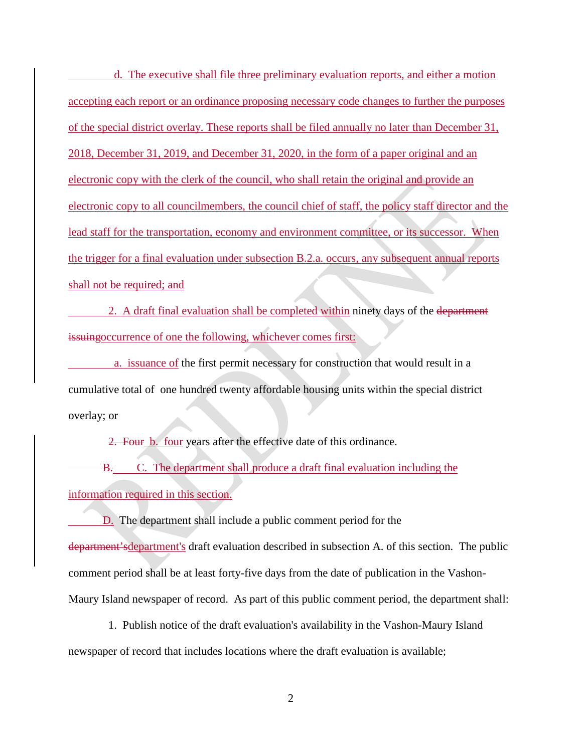d. The executive shall file three preliminary evaluation reports, and either a motion accepting each report or an ordinance proposing necessary code changes to further the purposes of the special district overlay. These reports shall be filed annually no later than December 31, 2018, December 31, 2019, and December 31, 2020, in the form of a paper original and an electronic copy with the clerk of the council, who shall retain the original and provide an electronic copy to all councilmembers, the council chief of staff, the policy staff director and the lead staff for the transportation, economy and environment committee, or its successor. When the trigger for a final evaluation under subsection B.2.a. occurs, any subsequent annual reports shall not be required; and

 2. A draft final evaluation shall be completed within ninety days of the department issuingoccurrence of one the following, whichever comes first:

 a. issuance of the first permit necessary for construction that would result in a cumulative total of one hundred twenty affordable housing units within the special district overlay; or

2. Four b. four years after the effective date of this ordinance.

B. C. The department shall produce a draft final evaluation including the information required in this section.

D. The department shall include a public comment period for the department'sdepartment's draft evaluation described in subsection A. of this section. The public comment period shall be at least forty-five days from the date of publication in the Vashon-Maury Island newspaper of record. As part of this public comment period, the department shall:

 1. Publish notice of the draft evaluation's availability in the Vashon-Maury Island newspaper of record that includes locations where the draft evaluation is available;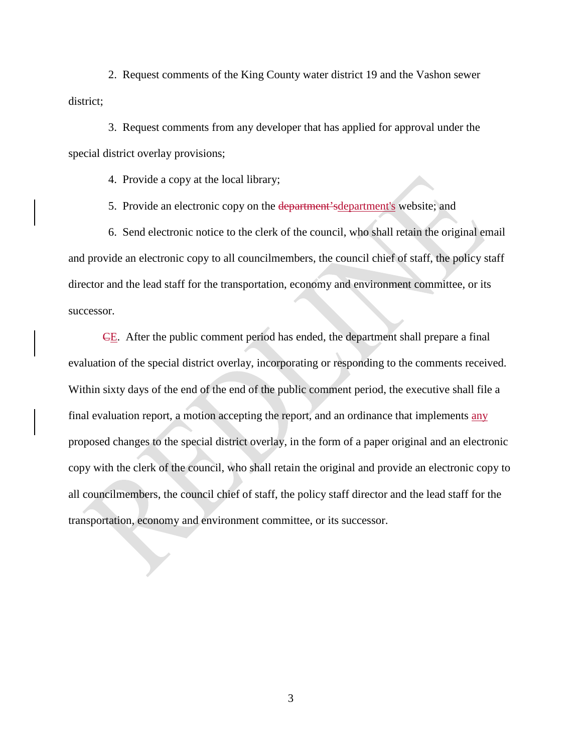2. Request comments of the King County water district 19 and the Vashon sewer district;

 3. Request comments from any developer that has applied for approval under the special district overlay provisions;

4. Provide a copy at the local library;

5. Provide an electronic copy on the department'sdepartment's website; and

 6. Send electronic notice to the clerk of the council, who shall retain the original email and provide an electronic copy to all councilmembers, the council chief of staff, the policy staff director and the lead staff for the transportation, economy and environment committee, or its successor.

CE. After the public comment period has ended, the department shall prepare a final evaluation of the special district overlay, incorporating or responding to the comments received. Within sixty days of the end of the end of the public comment period, the executive shall file a final evaluation report, a motion accepting the report, and an ordinance that implements any proposed changes to the special district overlay, in the form of a paper original and an electronic copy with the clerk of the council, who shall retain the original and provide an electronic copy to all councilmembers, the council chief of staff, the policy staff director and the lead staff for the transportation, economy and environment committee, or its successor.

3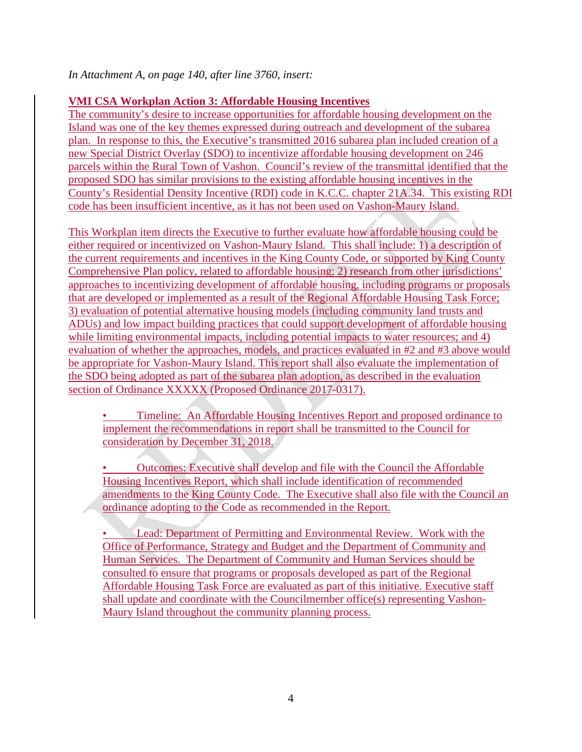## *In Attachment A, on page 140, after line 3760, insert:*

## **VMI CSA Workplan Action 3: Affordable Housing Incentives**

The community's desire to increase opportunities for affordable housing development on the Island was one of the key themes expressed during outreach and development of the subarea plan. In response to this, the Executive's transmitted 2016 subarea plan included creation of a new Special District Overlay (SDO) to incentivize affordable housing development on 246 parcels within the Rural Town of Vashon. Council's review of the transmittal identified that the proposed SDO has similar provisions to the existing affordable housing incentives in the County's Residential Density Incentive (RDI) code in K.C.C. chapter 21A.34. This existing RDI code has been insufficient incentive, as it has not been used on Vashon-Maury Island.

This Workplan item directs the Executive to further evaluate how affordable housing could be either required or incentivized on Vashon-Maury Island. This shall include: 1) a description of the current requirements and incentives in the King County Code, or supported by King County Comprehensive Plan policy, related to affordable housing; 2) research from other jurisdictions' approaches to incentivizing development of affordable housing, including programs or proposals that are developed or implemented as a result of the Regional Affordable Housing Task Force; 3) evaluation of potential alternative housing models (including community land trusts and ADUs) and low impact building practices that could support development of affordable housing while limiting environmental impacts, including potential impacts to water resources; and 4) evaluation of whether the approaches, models, and practices evaluated in #2 and #3 above would be appropriate for Vashon-Maury Island. This report shall also evaluate the implementation of the SDO being adopted as part of the subarea plan adoption, as described in the evaluation section of Ordinance XXXXX (Proposed Ordinance 2017-0317).

• Timeline: An Affordable Housing Incentives Report and proposed ordinance to implement the recommendations in report shall be transmitted to the Council for consideration by December 31, 2018.

• Outcomes: Executive shall develop and file with the Council the Affordable Housing Incentives Report, which shall include identification of recommended amendments to the King County Code. The Executive shall also file with the Council an ordinance adopting to the Code as recommended in the Report.

• Lead: Department of Permitting and Environmental Review. Work with the Office of Performance, Strategy and Budget and the Department of Community and Human Services. The Department of Community and Human Services should be consulted to ensure that programs or proposals developed as part of the Regional Affordable Housing Task Force are evaluated as part of this initiative. Executive staff shall update and coordinate with the Councilmember office(s) representing Vashon-Maury Island throughout the community planning process.